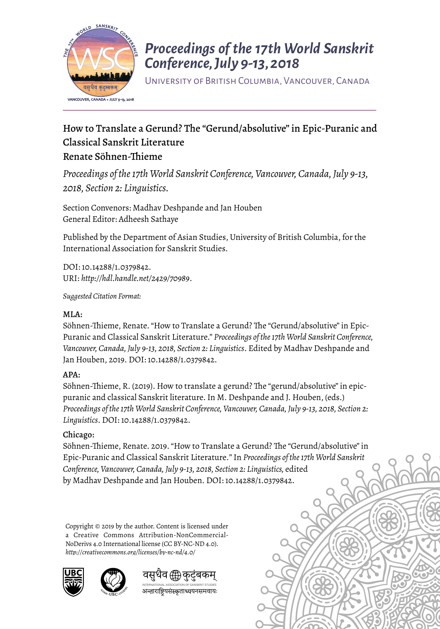

## *Proceedings of the 17th World Sanskrit Conference, July 9-13, 2018*

University of British Columbia, Vancouver, Canada

## How to Translate a Gerund? The "Gerund/absolutive" in Epic-Puranic and Classical Sanskrit Literature Renate Söhnen-Tieme

*Proceedings of the 17th World Sanskrit Conference, Vancouver, Canada, July 9-13, 2018, Section 2: Linguistics.* 

Section Convenors: Madhav Deshpande and Jan Houben General Editor: Adheesh Sathaye

Published by the Department of Asian Studies, University of British Columbia, for the International Association for Sanskrit Studies.

DOI: 10.14288/1.0379842. URI: *http://hdl.handle.net/2429/70989*.

*Suggested Citation Format:* 

#### MLA:

Söhnen-Thieme, Renate. "How to Translate a Gerund? The "Gerund/absolutive" in Epic-Puranic and Classical Sanskrit Literature." *Proceedings of the 17th World Sanskrit Conference, Vancouver, Canada, July 9-13, 2018, Section 2: Linguistics*. Edited by Madhav Deshpande and Jan Houben, 2019. DOI: 10.14288/1.0379842.

#### APA:

Söhnen-Thieme, R. (2019). How to translate a gerund? The "gerund/absolutive" in epicpuranic and classical Sanskrit literature. In M. Deshpande and J. Houben, (eds.) *Proceedings of the 17th World Sanskrit Conference, Vancouver, Canada, July 9-13, 2018, Section 2: Linguistics*. DOI: 10.14288/1.0379842.

#### Chicago:

Söhnen-Thieme, Renate. 2019. "How to Translate a Gerund? The "Gerund/absolutive" in Epic-Puranic and Classical Sanskrit Literature*.*" In *Proceedings of the 17th World Sanskrit Conference, Vancouver, Canada, July 9-13, 2018, Section 2: Linguistics,* edited by Madhav Deshpande and Jan Houben. DOI: 10.14288/1.0379842.

Copyright © 2019 by the author. Content is licensed under a Creative Commons Attribution-NonCommercial-NoDerivs 4.0 International license (CC BY-NC-ND 4.0). *http://creativecommons.org/licenses/by-nc-nd/4.0/*





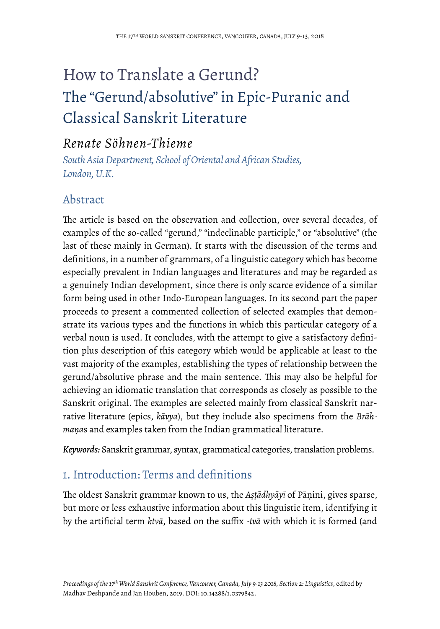# How to Translate a Gerund? The "Gerund/absolutive" in Epic-Puranic and Classical Sanskrit Literature

## *Renate Söhnen-Thieme*

*South Asia Department, School of Oriental and African Studies, London, U.K.* 

## Abstract

The article is based on the observation and collection, over several decades, of examples of the so-called "gerund," "indeclinable participle," or "absolutive" (the last of these mainly in German). It starts with the discussion of the terms and definitions, in a number of grammars, of a linguistic category which has become especially prevalent in Indian languages and literatures and may be regarded as a genuinely Indian development, since there is only scarce evidence of a similar form being used in other Indo-European languages. In its second part the paper proceeds to present a commented collection of selected examples that demonstrate its various types and the functions in which this particular category of a verbal noun is used. It concludes, with the attempt to give a satisfactory definition plus description of this category which would be applicable at least to the vast majority of the examples, establishing the types of relationship between the gerund/absolutive phrase and the main sentence. This may also be helpful for achieving an idiomatic translation that corresponds as closely as possible to the Sanskrit original. The examples are selected mainly from classical Sanskrit narrative literature (epics, *kāvya*), but they include also specimens from the *Brāhmaṇa*s and examples taken from the Indian grammatical literature.

*Keywords:* Sanskrit grammar, syntax, grammatical categories, translation problems.

## 1. Introduction: Terms and definitions

Te oldest Sanskrit grammar known to us, the *Aṣṭādhyāyī* of Pāṇini, gives sparse, but more or less exhaustive information about this linguistic item, identifying it by the artificial term *ktvā*, based on the suffix *-tvā* with which it is formed (and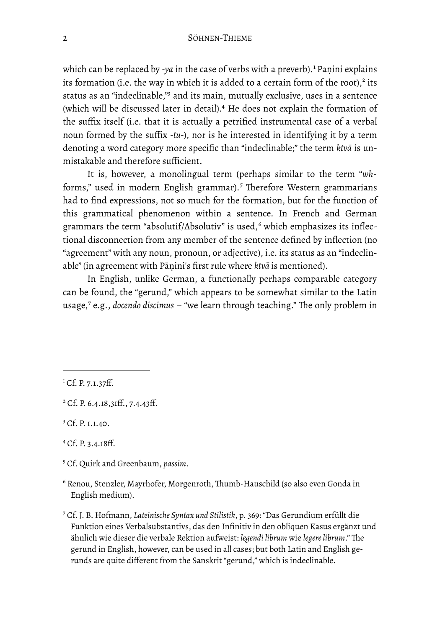<span id="page-2-10"></span><span id="page-2-9"></span><span id="page-2-8"></span><span id="page-2-7"></span>which can be replaced by *-ya* in the case of verbs with a preverb).<sup>[1](#page-2-0)</sup> Paṇini explains its formation (i.e. the way in which it is added to a certain form of the root),<sup>[2](#page-2-1)</sup> its status as an "indeclinable,["](#page-2-2) and its main, mutually exclusive, uses in a sentence (which will be discussed later in detail).<sup>[4](#page-2-3)</sup> He does not explain the formation of the suffix itself (i.e. that it is actually a petrified instrumental case of a verbal noun formed by the suffix *-tu-*), nor is he interested in identifying it by a term denoting a word category more specific than "indeclinable;" the term *ktvā* is unmistakable and therefore sufficient.

<span id="page-2-11"></span>It is, however, a monolingual term (perhaps similar to the term "*wh*-forms," used in modern English grammar).<sup>[5](#page-2-4)</sup> Therefore Western grammarians had to find expressions, not so much for the formation, but for the function of this grammatical phenomenon within a sentence. In French and German grammarsthe term "absolutif/Absolutiv" is used,<sup>6</sup> which emphasizes its inflectional disconnection from any member of the sentence defined by inflection (no "agreement" with any noun, pronoun, or adjective), i.e. its status as an "indeclinable" (in agreement with Pāṇini's first rule where *ktvā* is mentioned).

<span id="page-2-13"></span><span id="page-2-12"></span>In English, unlike German, a functionally perhaps comparable category can be found, the "gerund," which appears to be somewhat similar to the Latin usage,<sup>[7](#page-2-6)</sup> e.g., *docendo discimus* – "we learn through teaching." The only problem in

<span id="page-2-2"></span><sup>[3](#page-2-9)</sup> Cf. P. 1.1.40.

<span id="page-2-3"></span> $^{4}$  $^{4}$  $^{4}$  Cf. P. 3.4.18ff.

<span id="page-2-4"></span><sup>[5](#page-2-11)</sup> Cf. Quirk and Greenbaum, *passim*.

<span id="page-2-5"></span> $6$  Renou, Stenzler, Mayrhofer, Morgenroth, Thumb-Hauschild (so also even Gonda in English medium).

<span id="page-2-6"></span> Cf. J. B. Hofmann, *Lateinische Syntax und Stilistik*, p. 369: "Das Gerundium erfüllt die [7](#page-2-13) Funktion eines Verbalsubstantivs, das den Infinitiv in den obliquen Kasus ergänzt und ähnlich wie dieser die verbale Rektion aufweist: *legendi librum* wie *legere librum*." The gerund in English, however, can be used in all cases; but both Latin and English gerunds are quite different from the Sanskrit "gerund," which is indeclinable.

<span id="page-2-0"></span> ${}^{1}$  ${}^{1}$  ${}^{1}$  Cf. P. 7.1.37ff.

<span id="page-2-1"></span> $^{2}$  $^{2}$  $^{2}$  Cf. P. 6.4.18,31ff., 7.4.43ff.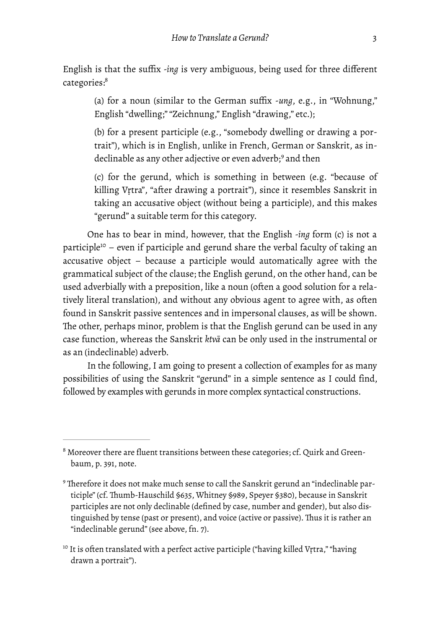English is that the suffix *-ing* is very ambiguous, being used for three different categories:<sup>8</sup>

<span id="page-3-3"></span>(a) for a noun (similar to the German suffix -*ung*, e.g., in "Wohnung," English "dwelling;" "Zeichnung," English "drawing," etc.);

(b) for a present participle (e.g., "somebody dwelling or drawing a portrait"), which is in English, unlike in French, German or Sanskrit, as in-declinableas any other adjective or even adverb;<sup>[9](#page-3-1)</sup> and then

<span id="page-3-4"></span>(c) for the gerund, which is something in between (e.g. "because of killing Vṛtra", "after drawing a portrait"), since it resembles Sanskrit in taking an accusative object (without being a participle), and this makes "gerund" a suitable term for this category.

<span id="page-3-5"></span>One has to bear in mind, however, that the English *-ing* form (c) is not a participl[e](#page-3-2)<sup>[10](#page-3-2)</sup> – even if participle and gerund share the verbal faculty of taking an accusative object – because a participle would automatically agree with the grammatical subject of the clause; the English gerund, on the other hand, can be used adverbially with a preposition, like a noun (often a good solution for a relatively literal translation), and without any obvious agent to agree with, as often found in Sanskrit passive sentences and in impersonal clauses, as will be shown. The other, perhaps minor, problem is that the English gerund can be used in any case function, whereas the Sanskrit *ktvā* can be only used in the instrumental or as an (indeclinable) adverb.

In the following, I am going to present a collection of examples for as many possibilities of using the Sanskrit "gerund" in a simple sentence as I could find, followed by examples with gerunds in more complex syntactical constructions.

<span id="page-3-0"></span> $8$  Moreover there are fluent transitions between these categories; cf. Quirk and Greenbaum, p. 391, note.

<span id="page-3-1"></span><sup>&</sup>lt;sup>[9](#page-3-4)</sup> Therefore it does not make much sense to call the Sanskrit gerund an "indeclinable participle" (cf. Thumb-Hauschild \$635, Whitney \$989, Speyer \$380), because in Sanskrit participles are not only declinable (defined by case, number and gender), but also distinguished by tense (past or present), and voice (active or passive). Thus it is rather an "indeclinable gerund" (see above, fn. 7).

<span id="page-3-2"></span><sup>&</sup>lt;sup>[10](#page-3-5)</sup> It is often translated with a perfect active participle ("having killed Vṛtra," "having drawn a portrait").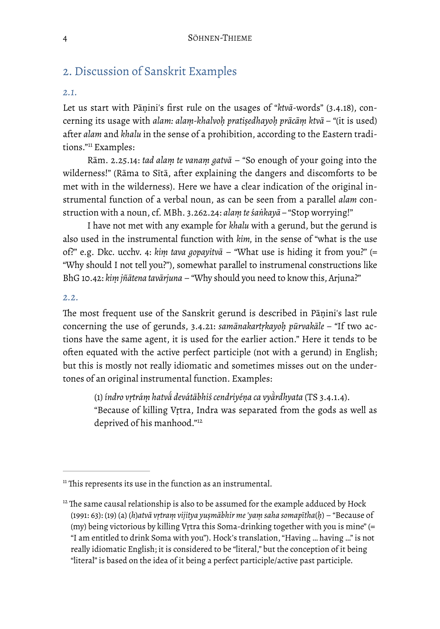## 2. Discussion of Sanskrit Examples

#### *2.1.*

Let us start with Pāṇini's first rule on the usages of "*ktvā*-words" (3.4.18), concerning its usage with *alam: alaṃ-khalvoḥ pratiṣedhayoḥ prācāṃ ktvā – "*(it is used) after *alam* and *khalu* in the sense of a prohibition, according to the Eastern tradi-tions."<sup>11</sup>Examples:

<span id="page-4-2"></span>Rām. 2.25.14: *tad alaṃ te vanaṃ gatvā* – "So enough of your going into the wilderness!" (Rāma to Sītā, after explaining the dangers and discomforts to be met with in the wilderness). Here we have a clear indication of the original instrumental function of a verbal noun, as can be seen from a parallel *alam* construction with a noun, cf. MBh. 3.262.24: *alaṃ te śaṅkayā –* "Stop worrying!"

I have not met with any example for *khalu* with a gerund, but the gerund is also used in the instrumental function with *kim,* in the sense of "what is the use of?" e.g. Dkc. ucchv. 4: *kiṃ tava gopayitvā* – "What use is hiding it from you?" (= "Why should I not tell you?"), somewhat parallel to instrumenal constructions like BhG 10.42: *kiṃ jñātena tavārjuna* – "Why should you need to know this, Arjuna?"

#### *2.2.*

The most frequent use of the Sanskrit gerund is described in Pāṇini's last rule concerning the use of gerunds, 3.4.21: *samānakartṛkayoḥ pūrvakāle – "*If two actions have the same agent, it is used for the earlier action." Here it tends to be often equated with the active perfect participle (not with a gerund) in English; but this is mostly not really idiomatic and sometimes misses out on the undertones of an original instrumental function. Examples:

<span id="page-4-3"></span>(1) *índro vṛtráṃ hatvā́ devátābhiś cendriyéṇa ca vyā̀ rdhyata* (TS 3.4.1.4). "Because of killing Vṛtra, Indra was separated from the gods as well as deprived of his manhood."<sup>12</sup>

<span id="page-4-0"></span> $<sup>11</sup>$  $<sup>11</sup>$  $<sup>11</sup>$  This represents its use in the function as an instrumental.</sup>

<span id="page-4-1"></span> $12$  The same causal relationship is also to be assumed for the example adduced by Hock (1991: 63): (19) (a) (*h*)*atvā vṛtraṃ vijitya yuṣmābhir me 'yaṃ saha somapītha*(*ḥ*) – "Because of (my) being victorious by killing Vṛtra this Soma-drinking together with you is mine" (= "I am entitled to drink Soma with you"). Hock's translation, "Having … having …" is not really idiomatic English; it is considered to be "literal," but the conception of it being "literal" is based on the idea of it being a perfect participle/active past participle.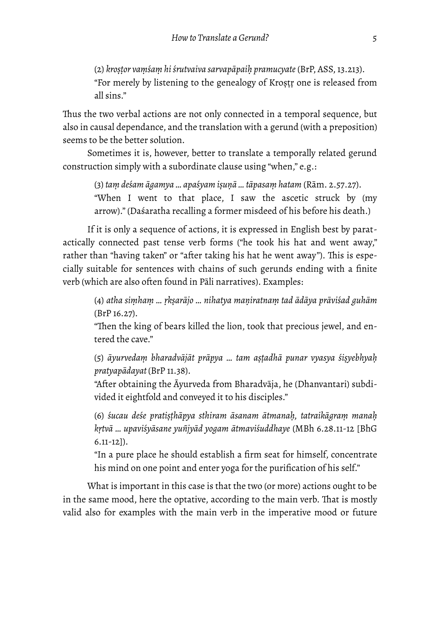(2) *kroṣṭor vaṃśaṃ hi śrutvaiva sarvapāpaiḥ pramucyate* (BrP, ASS, 13.213). "For merely by listening to the genealogy of Kroṣṭṛ one is released from all sins."

Thus the two verbal actions are not only connected in a temporal sequence, but also in causal dependance, and the translation with a gerund (with a preposition) seems to be the better solution.

Sometimes it is, however, better to translate a temporally related gerund construction simply with a subordinate clause using "when," e.g.:

(3) *taṃ deśam āgamya … apaśyam iṣuṇā … tāpasaṃ hatam* (Rām. 2.57.27). "When I went to that place, I saw the ascetic struck by (my arrow)." (Daśaratha recalling a former misdeed of his before his death.)

If it is only a sequence of actions, it is expressed in English best by paratactically connected past tense verb forms ("he took his hat and went away," rather than "having taken" or "after taking his hat he went away"). This is especially suitable for sentences with chains of such gerunds ending with a finite verb (which are also often found in Pāli narratives). Examples:

(4) atha simham ... rkṣarājo ... nihatya maṇiratnaṃ tad ādāya prāviśad guhām (BrP 16.27).

"Then the king of bears killed the lion, took that precious jewel, and entered the cave."

(5) *āyurvedaṃ bharadvājāt prāpya … tam aṣṭadhā punar vyasya śiṣyebhyaḥ pratyapādayat* (BrP 11.38).

"After obtaining the Āyurveda from Bharadvāja, he (Dhanvantari) subdivided it eightfold and conveyed it to his disciples."

(6) *śucau deśe pratiṣṭhāpya sthiram āsanam ātmanaḥ, tatraikāgraṃ manaḥ kṛtvā … upaviśyāsane yuñjyād yogam ātmaviśuddhaye* (MBh 6.28.11-12 [BhG 6.11-12]).

"In a pure place he should establish a firm seat for himself, concentrate his mind on one point and enter yoga for the purification of his self."

What is important in this case is that the two (or more) actions ought to be in the same mood, here the optative, according to the main verb. That is mostly valid also for examples with the main verb in the imperative mood or future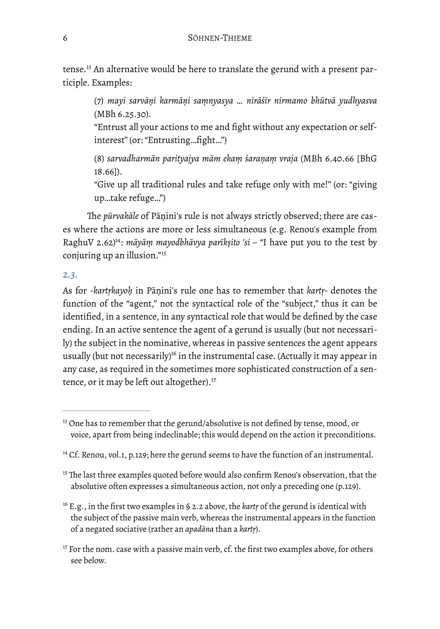<span id="page-6-5"></span>tense.<sup>13</sup>An alternative would be here to translate the gerund with a present participle. Examples:

(7) *mayi sarvāṇi karmāṇi saṃnyasya … nirāśīr nirmamo bhūtvā yudhyasva*  (MBh 6.25.30).

"Entrust all your actions to me and fight without any expectation or selfinterest" (or: "Entrusting…fight…")

(8) *sarvadharmān parityajya mām ekaṃ śaraṇaṃ vraja* (MBh 6.40.66 [BhG 18.66]).

"Give up all traditional rules and take refuge only with me!" (or: "giving up…take refuge…")

The pūrvakāle of Pāṇini's rule is not always strictly observed; there are cases where the actions are more or less simultaneous (e.g. Renou's example from RaghuV 2.62<sup>[14](#page-6-1)</sup>: *māyāṃ mayodbhāvya parīkṣito 'si – "I* have put you to the test by conjuring up an illusion."<sup>[15](#page-6-2)</sup>

#### <span id="page-6-7"></span><span id="page-6-6"></span>*2.3.*

As for -*kartṛkayoḥ* in Pāṇini's rule one has to remember that *kartṛ-* denotes the function of the "agent," not the syntactical role of the "subject," thus it can be identified, in a sentence, in any syntactical role that would be defined by the case ending. In an active sentence the agent of a gerund is usually (but not necessarily) the subject in the nominative, whereas in passive sentences the agent appears usually (but not necessarily[\)](#page-6-3)<sup>[16](#page-6-3)</sup> in the instrumental case. (Actually it may appear in any case, as required in the sometimes more sophisticated construction of a sentence, or it may be left out altogether).<sup>17</sup>

<span id="page-6-9"></span><span id="page-6-8"></span><span id="page-6-0"></span><sup>&</sup>lt;sup>[13](#page-6-5)</sup> One has to remember that the gerund/absolutive is not defined by tense, mood, or voice, apart from being indeclinable; this would depend on the action it preconditions.

<span id="page-6-1"></span> $14$  Cf. Renou, vol.1, p.129; here the gerund seems to have the function of an instrumental.

<span id="page-6-2"></span> $15$  The last three examples quoted before would also confirm Renou's observation, that the absolutive often expresses a simultaneous action, not only a preceding one (p.129).

<span id="page-6-3"></span><sup>&</sup>lt;sup>[16](#page-6-8)</sup> E.g., in the first two examples in § 2.2 above, the *kartr* of the gerund is identical with the subject of the passive main verb, whereas the instrumental appears in the function of a negated sociative (rather an *apadāna* than a *kartṛ*).

<span id="page-6-4"></span> $17$  For the nom. case with a passive main verb, cf. the first two examples above, for others see below.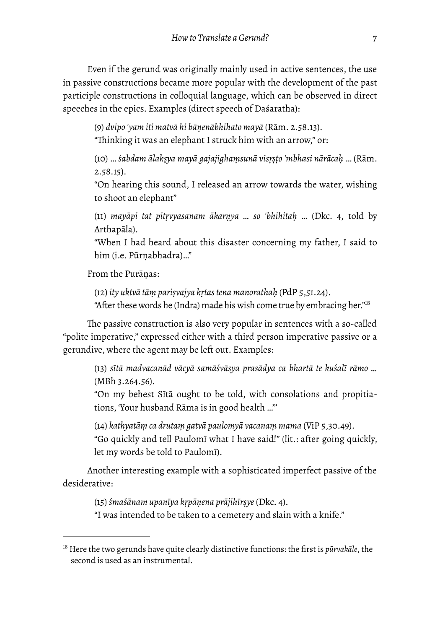Even if the gerund was originally mainly used in active sentences, the use in passive constructions became more popular with the development of the past participle constructions in colloquial language, which can be observed in direct speeches in the epics. Examples (direct speech of Daśaratha):

(9) *dvipo 'yam iti matvā hi bāṇenābhihato mayā* (Rām. 2.58.13). "Thinking it was an elephant I struck him with an arrow," or:

(10) … *śabdam ālakṣya mayā gajajighaṃsunā visṛṣṭo 'mbhasi nārācaḥ* … (Rām. 2.58.15).

"On hearing this sound, I released an arrow towards the water, wishing to shoot an elephant"

(11) *mayāpi tat pitṛvyasanam ākarṇya … so 'bhihitaḥ* … (Dkc. 4, told by Arthapāla).

"When I had heard about this disaster concerning my father, I said to him (i.e. Pūrṇabhadra)…"

From the Purāṇas:

(12) *ity uktvā tāṃ pariṣvajya kṛtas tena manorathaḥ* (PdP 5,51.24).

<span id="page-7-1"></span>"After these words he (Indra) made his wish come true by embracing her.["18](#page-7-0)

The passive construction is also very popular in sentences with a so-called "polite imperative," expressed either with a third person imperative passive or a gerundive, where the agent may be left out. Examples:

(13) sītā madvacanād vācyā samāśvāsya prasādya ca bhartā te kuśalī rāmo ... (MBh 3.264.56).

"On my behest Sītā ought to be told, with consolations and propitiations, 'Your husband Rāma is in good health …'"

(14) *kathyatāṃ ca drutaṃ gatvā paulomyā vacanaṃ mama* (ViP 5,30.49). "Go quickly and tell Paulomī what I have said!" (lit.: after going quickly, let my words be told to Paulomī).

Another interesting example with a sophisticated imperfect passive of the desiderative:

(15) *śmaśānam upanīya kṛpāṇena prājihīrṣye* (Dkc. 4). "I was intended to be taken to a cemetery and slain with a knife."

<span id="page-7-0"></span>Here the two gerunds have quite clearly distinctive functions: the first is *pūrvakāle*, the [18](#page-7-1) second is used as an instrumental.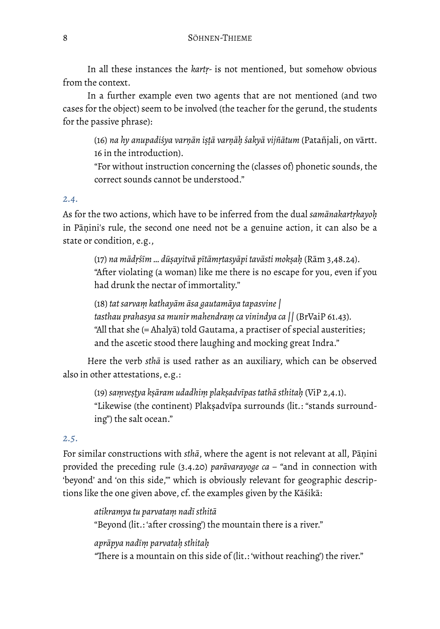In all these instances the *kartṛ-* is not mentioned, but somehow obvious from the context.

In a further example even two agents that are not mentioned (and two cases for the object) seem to be involved (the teacher for the gerund, the students for the passive phrase):

(16) *na hy anupadiśya varṇān iṣṭā varṇāḥ śakyā vijñātum* (Patañjali, on vārtt. 16 in the introduction).

"For without instruction concerning the (classes of) phonetic sounds, the correct sounds cannot be understood."

#### *2.4.*

As for the two actions, which have to be inferred from the dual *samānakartṛkayoḥ* in Pāṇini's rule, the second one need not be a genuine action, it can also be a state or condition, e.g.,

(17) na mādrśīm ... dūsayitvā pītāmrtasyāpi tavāsti moksah (Rām 3,48.24). "After violating (a woman) like me there is no escape for you, even if you had drunk the nectar of immortality."

(18) *tat sarvaṃ kathayām āsa gautamāya tapasvine | tasthau prahasya sa munir mahendraṃ ca vinindya ca ||* (BrVaiP 61.43)*.* "All that she (= Ahalyā) told Gautama, a practiser of special austerities; and the ascetic stood there laughing and mocking great Indra."

Here the verb *sthā* is used rather as an auxiliary, which can be observed also in other attestations, e.g.:

(19) *saṃveṣṭya kṣāram udadhiṃ plakṣadvīpas tathā sthitaḥ* (ViP 2,4.1). "Likewise (the continent) Plakṣadvīpa surrounds (lit*.*: "stands surrounding") the salt ocean."

#### *2.5.*

For similar constructions with *sthā*, where the agent is not relevant at all, Pāṇini provided the preceding rule (3.4.20) *parāvarayoge ca – "*and in connection with 'beyond' and 'on this side,'" which is obviously relevant for geographic descriptions like the one given above, cf. the examples given by the Kāśikā:

*atikramya tu parvataṃ nadī sthitā* "Beyond (lit.: 'after crossing') the mountain there is a river."

*aprāpya nadīṃ parvataḥ sthitaḥ*

"There is a mountain on this side of (lit.: 'without reaching') the river."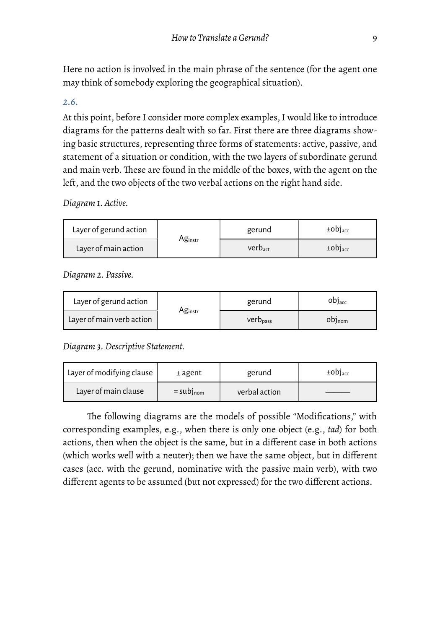Here no action is involved in the main phrase of the sentence (for the agent one may think of somebody exploring the geographical situation).

#### *2.6.*

At this point, before I consider more complex examples, I would like to introduce diagrams for the patterns dealt with so far. First there are three diagrams showing basic structures, representing three forms of statements: active, passive, and statement of a situation or condition, with the two layers of subordinate gerund and main verb. These are found in the middle of the boxes, with the agent on the left, and the two objects of the two verbal actions on the right hand side.

*Diagram 1. Active.* 

| Layer of gerund action |                     | gerund       | $±$ OD] <sub>acc</sub>   |  |
|------------------------|---------------------|--------------|--------------------------|--|
| Layer of main action   | Ag <sub>instr</sub> | $Verb_{act}$ | $\pm$ ODJ <sub>acc</sub> |  |

*Diagram 2. Passive.* 

| Layer of gerund action    | Ag <sub>instr</sub> | gerund               | obj <sub>acc</sub> |  |
|---------------------------|---------------------|----------------------|--------------------|--|
| Layer of main verb action |                     | verb <sub>pass</sub> | $OD]_{nom}$        |  |

*Diagram 3. Descriptive Statement.* 

| Layer of modifying clause | $±$ agent               | gerund        | $\pm$ obj <sub>acc</sub> |  |
|---------------------------|-------------------------|---------------|--------------------------|--|
| Layer of main clause      | $=$ subj <sub>nom</sub> | verbal action |                          |  |

The following diagrams are the models of possible "Modifications," with corresponding examples, e.g., when there is only one object (e.g., *tad*) for both actions, then when the object is the same, but in a different case in both actions (which works well with a neuter); then we have the same object, but in different cases (acc. with the gerund, nominative with the passive main verb), with two different agents to be assumed (but not expressed) for the two different actions.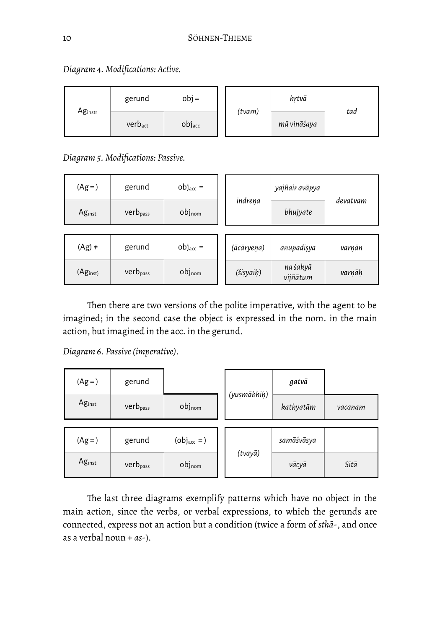|         | gerund              | $obj =$ | (tvam) | kṛtvā       | tad |
|---------|---------------------|---------|--------|-------------|-----|
| Aginstr | verb <sub>act</sub> | objacc  |        | mā vināśaya |     |

*Diagram 4. Modifications: Active.* 

*Diagram 5. Modifications: Passive.* 

| $(Ag=)$            | gerund               | $obj_{acc}$ =      |  |            | yajñair avāpya       | devatvam |
|--------------------|----------------------|--------------------|--|------------|----------------------|----------|
| Ag <sub>inst</sub> | $verb_{pass}$        | $obj_{nom}$        |  | indreņa    | bhujyate             |          |
|                    |                      |                    |  |            |                      |          |
| $(Ag) \neq$        | gerund               | $obj_{acc}$ =      |  | (ācāryeṇa) | anupadişya           | varnān   |
| $(Ag_{inst})$      | verb <sub>pass</sub> | obj <sub>nom</sub> |  | (śisyaih)  | na śakyā<br>vijñātum | varņāḥ   |

Then there are two versions of the polite imperative, with the agent to be imagined; in the second case the object is expressed in the nom. in the main action, but imagined in the acc. in the gerund.

*Diagram 6. Passive (imperative).* 

| $(Ag=)$ | gerund               |                         |  |             |            | gatvā   |  |
|---------|----------------------|-------------------------|--|-------------|------------|---------|--|
| Aginst  | verb <sub>pass</sub> | objnom                  |  | (yuşmābhiḥ) | kathyatām  | vacanam |  |
|         |                      |                         |  |             |            |         |  |
| $(Ag=)$ | gerund               | $(obj_{\text{acc}} = )$ |  |             | samāśvāsya |         |  |
| Aginst  | verb <sub>pass</sub> | objnom                  |  | (tvayā)     | vācyā      | Sītā    |  |

The last three diagrams exemplify patterns which have no object in the main action, since the verbs, or verbal expressions, to which the gerunds are connected, express not an action but a condition (twice a form of *sthā*-, and once as a verbal noun + *as*-).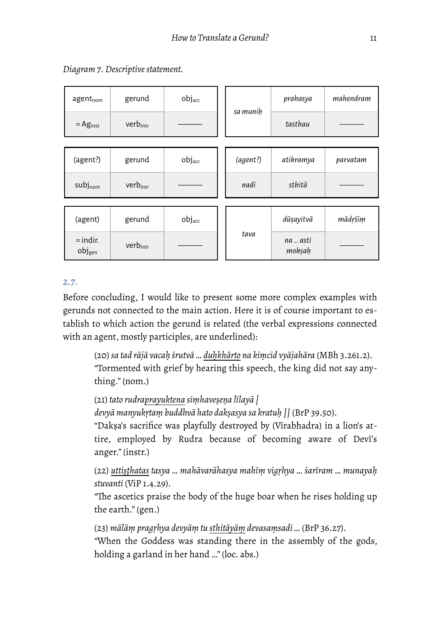| $agent_{nom}$                    | gerund               | objacc             |  | sa munih | prahasya           | mahendram |
|----------------------------------|----------------------|--------------------|--|----------|--------------------|-----------|
| $=$ Ag <sub>inst</sub>           | verbintr             |                    |  |          | tasthau            |           |
|                                  |                      |                    |  |          |                    |           |
| (agent?)                         | gerund               | obj <sub>acc</sub> |  | (agent?) | atikramya          | parvatam  |
| subjnom                          | verb <sub>intr</sub> |                    |  | nadī     | sthitā             |           |
|                                  |                      |                    |  |          |                    |           |
| (agent)                          | gerund               | objacc             |  | tava     | dūṣayitvā          | mādrśīm   |
| $=$ indir.<br>obj <sub>gen</sub> | verbintr             |                    |  |          | na  asti<br>mokṣaḥ |           |

*Diagram 7. Descriptive statement.* 

#### *2.7.*

Before concluding, I would like to present some more complex examples with gerunds not connected to the main action. Here it is of course important to establish to which action the gerund is related (the verbal expressions connected with an agent, mostly participles, are underlined):

(20) *sa tad rājā vacaḥ śrutvā … duḥkhārto na kiṃcid vyājahāra* (MBh 3.261.2). "Tormented with grief by hearing this speech, the king did not say anything." (nom.)

(21) *tato rudraprayuktena siṃhaveṣeṇa līlayā |*

*devyā manyukṛtaṃ buddhvā hato dakṣasya sa kratuḥ ||* (BrP 39.50).

"Dakṣa's sacrifice was playfully destroyed by (Vīrabhadra) in a lion's attire, employed by Rudra because of becoming aware of Devī's anger." (instr.)

(22) *uttiṣṭhatas tasya … mahāvarāhasya mahīṃ vigṛhya … śarīram … munayaḥ stuvanti* (ViP 1.4.29).

"The ascetics praise the body of the huge boar when he rises holding up the earth." (gen.)

(23) *mālāṃ pragṛhya devyāṃ tu sthitāyāṃ devasaṃsadi …* (BrP 36.27). "When the Goddess was standing there in the assembly of the gods, holding a garland in her hand …" (loc. abs.)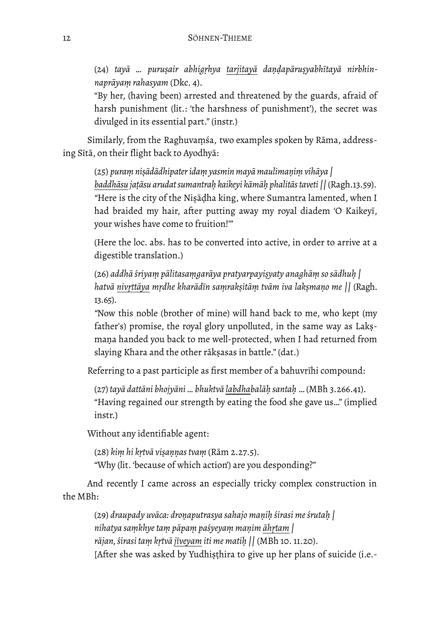(24) *tayā … puruṣair abhigṛhya tarjitayā daṇḍapāruṣyabhītayā nirbhinnaprāyaṃ rahasyam* (Dkc. 4).

"By her, (having been) arrested and threatened by the guards, afraid of harsh punishment (lit.: 'the harshness of punishment'), the secret was divulged in its essential part." (instr.)

Similarly, from the Raghuvaṃśa, two examples spoken by Rāma, addressing Sītā, on their flight back to Ayodhyā:

(25) *puraṃ niṣādādhipater idaṃ yasmin mayā maulimaṇiṃ vihāya | baddhāsu jaṭāsu arudat sumantraḥ kaikeyi kāmāḥ phalitās taveti ||* (Ragh.13.59). *"*Here is the city of the Niṣāḍha king, where Sumantra lamented, when I had braided my hair, after putting away my royal diadem 'O Kaikeyī, your wishes have come to fruition!'"

(Here the loc. abs. has to be converted into active, in order to arrive at a digestible translation.)

(26) *addhā śriyaṃ pālitasaṃgarāya pratyarpayiṣyaty anaghāṃ so sādhuḥ |* hatvā nivrttāya mrdhe kharādīn samraksitām tvām iva laksmano me || (Ragh. 13.65).

*"*Now this noble (brother of mine) will hand back to me, who kept (my father's) promise, the royal glory unpolluted, in the same way as Lakṣmaṇa handed you back to me well-protected, when I had returned from slaying Khara and the other rākṣasas in battle." (dat.)

Referring to a past participle as first member of a bahuvrīhi compound:

(27) *tayā dattāni bhojyāni … bhuktvā labdhabalāḥ santaḥ* … (MBh 3.266.41). "Having regained our strength by eating the food she gave us…" (implied instr.)

Without any identifiable agent:

(28) *kiṃ hi kṛtvā viṣaṇṇas tvaṃ* (Rām 2.27.5). "Why (lit. 'because of which action') are you desponding?"

And recently I came across an especially tricky complex construction in the MBh:

(29) *draupady uvāca: droṇaputrasya sahajo maṇiḥ śirasi me śrutaḥ | nihatya saṃkhye taṃ pāpaṃ paśyeyaṃ maṇim āhṛtam | rājan, śirasi taṃ kṛtvā jīveyam iti me matiḥ ||* (MBh 10. 11.20). [After she was asked by Yudhiṣṭhira to give up her plans of suicide (i.e.-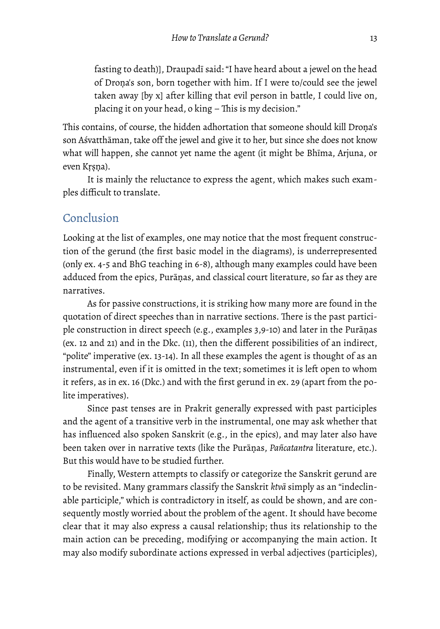fasting to death)], Draupadī said: "I have heard about a jewel on the head of Droṇa's son, born together with him. If I were to/could see the jewel taken away [by x] after killing that evil person in battle, I could live on, placing it on your head, o king  $-$  This is my decision."

This contains, of course, the hidden adhortation that someone should kill Droṇa's son Aśvatthāman, take off the jewel and give it to her, but since she does not know what will happen, she cannot yet name the agent (it might be Bhīma, Arjuna, or even Kṛṣṇa).

It is mainly the reluctance to express the agent, which makes such examples difficult to translate.

### Conclusion

Looking at the list of examples, one may notice that the most frequent construction of the gerund (the first basic model in the diagrams), is underrepresented (only ex. 4-5 and BhG teaching in 6-8), although many examples could have been adduced from the epics, Purāṇas, and classical court literature, so far as they are narratives.

As for passive constructions, it is striking how many more are found in the quotation of direct speeches than in narrative sections. There is the past participle construction in direct speech (e.g., examples 3,9-10) and later in the Purāṇas (ex. 12 and 21) and in the Dkc. (11), then the different possibilities of an indirect, "polite" imperative (ex. 13-14). In all these examples the agent is thought of as an instrumental, even if it is omitted in the text; sometimes it is left open to whom it refers, as in ex. 16 (Dkc.) and with the first gerund in ex. 29 (apart from the polite imperatives).

Since past tenses are in Prakrit generally expressed with past participles and the agent of a transitive verb in the instrumental, one may ask whether that has influenced also spoken Sanskrit (e.g., in the epics), and may later also have been taken over in narrative texts (like the Purāṇas, *Pañcatantra* literature, etc.). But this would have to be studied further.

Finally, Western attempts to classify or categorize the Sanskrit gerund are to be revisited. Many grammars classify the Sanskrit *ktvā* simply as an "indeclinable participle," which is contradictory in itself, as could be shown, and are consequently mostly worried about the problem of the agent. It should have become clear that it may also express a causal relationship; thus its relationship to the main action can be preceding, modifying or accompanying the main action. It may also modify subordinate actions expressed in verbal adjectives (participles),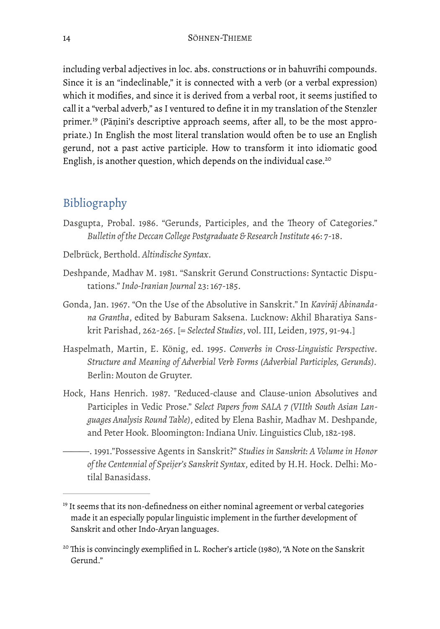<span id="page-14-2"></span>including verbal adjectives in loc. abs. constructions or in bahuvrīhi compounds. Since it is an "indeclinable," it is connected with a verb (or a verbal expression) which it modifies, and since it is derived from a verbal root, it seems justified to call it a "verbal adverb," as I ventured to define it in my translation of the Stenzler primer.<sup>19</sup>(Pāṇini's descriptive approach seems, after all, to be the most appropriate.) In English the most literal translation would often be to use an English gerund, not a past active participle. How to transform it into idiomatic good English, is another question, which depends on the individual case.<sup>20</sup>

## <span id="page-14-3"></span>Bibliography

- Dasgupta, Probal. 1986. "Gerunds, Participles, and the Theory of Categories." *Bulletin of the Deccan College Postgraduate & Research Institute* 46: 7-18.
- Delbrück, Berthold. *Altindische Syntax*.
- Deshpande, Madhav M. 1981. "Sanskrit Gerund Constructions: Syntactic Disputations." *Indo-Iranian Journal* 23: 167-185.
- Gonda, Jan. 1967. "On the Use of the Absolutive in Sanskrit." In *Kavirāj Abinandana Grantha*, edited by Baburam Saksena. Lucknow: Akhil Bharatiya Sanskrit Parishad, 262-265. [= *Selected Studies*, vol. III, Leiden, 1975, 91-94.]
- Haspelmath, Martin, E. König, ed. 1995. *Converbs in Cross-Linguistic Perspective*. *Structure and Meaning of Adverbial Verb Forms (Adverbial Participles, Gerunds).*  Berlin: Mouton de Gruyter.
- Hock, Hans Henrich. 1987. "Reduced-clause and Clause-union Absolutives and Participles in Vedic Prose." *Select Papers from SALA 7 (VIIth South Asian Languages Analysis Round Table)*, edited by Elena Bashir, Madhav M. Deshpande, and Peter Hook*.* Bloomington: Indiana Univ. Linguistics Club, 182-198.
	- ———. 1991."Possessive Agents in Sanskrit?" *Studies in Sanskrit: A Volume in Honor of the Centennial of Speijer's Sanskrit Syntax*, edited by H.H. Hock. Delhi: Motilal Banasidass.

<span id="page-14-0"></span> $19$  It seems that its non-definedness on either nominal agreement or verbal categories made it an especially popular linguistic implement in the further development of Sanskrit and other Indo-Aryan languages.

<span id="page-14-1"></span><sup>&</sup>lt;sup>[20](#page-14-3)</sup> This is convincingly exemplified in L. Rocher's article (1980), "A Note on the Sanskrit Gerund."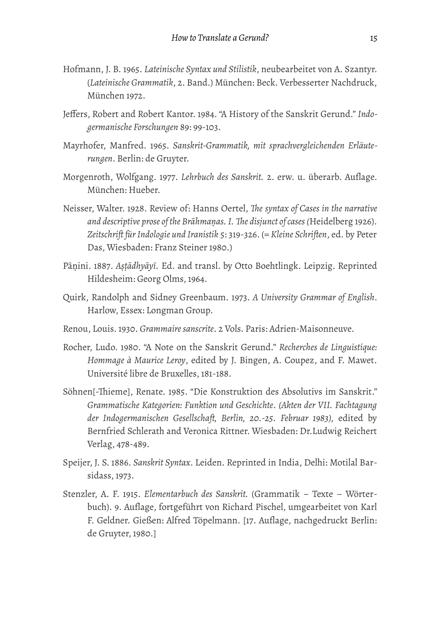- Hofmann, J. B. 1965. *Lateinische Syntax und Stilistik*, neubearbeitet von A. Szantyr. (*Lateinische Grammatik*, 2. Band.) München: Beck. Verbesserter Nachdruck, München 1972.
- Jeffers, Robert and Robert Kantor. 1984. "A History of the Sanskrit Gerund." *Indogermanische Forschungen* 89: 99-103.
- Mayrhofer, Manfred. 1965. *Sanskrit-Grammatik, mit sprachvergleichenden Erläuterungen*. Berlin: de Gruyter.
- Morgenroth, Wolfgang. 1977. *Lehrbuch des Sanskrit.* 2. erw. u. überarb. Auflage. München: Hueber.
- Neisser, Walter. 1928. Review of: Hanns Oertel, *Te syntax of Cases in the narrative and descriptive prose of the Brāhmaṇas. I. Te disjunct of cases (*Heidelberg 1926). *Zeitschrift für Indologie und Iranistik* 5: 319-326. (= *Kleine Schriften*, ed. by Peter Das, Wiesbaden: Franz Steiner 1980.)
- Pāṇini. 1887. *Aṣṭādhyāyī.* Ed. and transl. by Otto Boehtlingk. Leipzig. Reprinted Hildesheim: Georg Olms, 1964.
- Quirk, Randolph and Sidney Greenbaum. 1973. *A University Grammar of English*. Harlow, Essex: Longman Group.
- Renou, Louis. 1930. *Grammaire sanscrite*. 2 Vols. Paris: Adrien-Maisonneuve.
- Rocher, Ludo. 1980. "A Note on the Sanskrit Gerund." *Recherches de Linguistique: Hommage à Maurice Leroy*, edited by J. Bingen, A. Coupez, and F. Mawet. Université libre de Bruxelles, 181-188.
- Söhnen[-Tieme], Renate. 1985. "Die Konstruktion des Absolutivs im Sanskrit." *Grammatische Kategorien: Funktion und Geschichte*. *(Akten der VII. Fachtagung der Indogermanischen Gesellschaft, Berlin, 20.-25. Februar 1983),* edited by Bernfried Schlerath and Veronica Rittner. Wiesbaden: Dr.Ludwig Reichert Verlag, 478-489.
- Speijer, J. S. 1886. *Sanskrit Syntax*. Leiden. Reprinted in India, Delhi: Motilal Barsidass, 1973.
- Stenzler, A. F. 1915. *Elementarbuch des Sanskrit.* (Grammatik Texte Wörterbuch). 9. Auflage, fortgeführt von Richard Pischel, umgearbeitet von Karl F. Geldner. Gießen: Alfred Töpelmann. [17. Auflage, nachgedruckt Berlin: de Gruyter, 1980.]